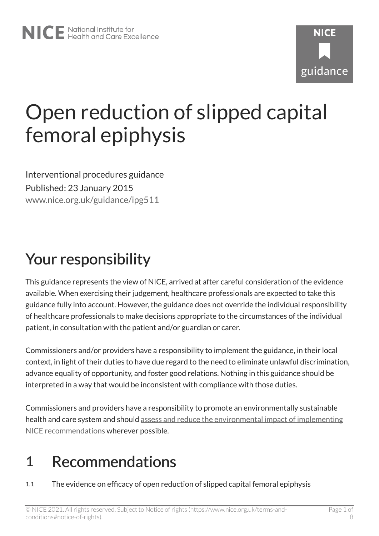# Open reduction of slipped capital femoral epiphysis

Interventional procedures guidance Published: 23 January 2015 [www.nice.org.uk/guidance/ipg511](https://www.nice.org.uk/guidance/ipg511) 

## Your responsibility

This guidance represents the view of NICE, arrived at after careful consideration of the evidence available. When exercising their judgement, healthcare professionals are expected to take this guidance fully into account. However, the guidance does not override the individual responsibility of healthcare professionals to make decisions appropriate to the circumstances of the individual patient, in consultation with the patient and/or guardian or carer.

Commissioners and/or providers have a responsibility to implement the guidance, in their local context, in light of their duties to have due regard to the need to eliminate unlawful discrimination, advance equality of opportunity, and foster good relations. Nothing in this guidance should be interpreted in a way that would be inconsistent with compliance with those duties.

Commissioners and providers have a responsibility to promote an environmentally sustainable health and care system and should [assess and reduce the environmental impact of implementing](https://www.nice.org.uk/about/who-we-are/sustainability)  [NICE recommendations w](https://www.nice.org.uk/about/who-we-are/sustainability)herever possible.

#### 1 Recommendations

1.1 The evidence on efficacy of open reduction of slipped capital femoral epiphysis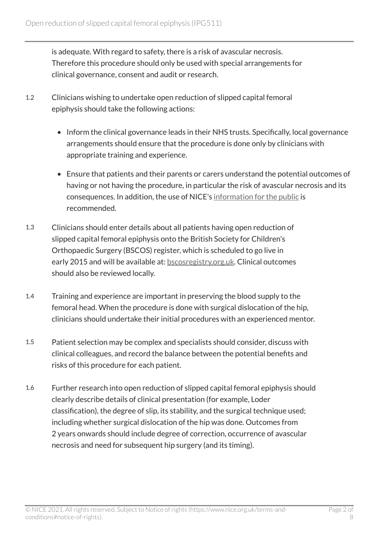is adequate. With regard to safety, there is a risk of avascular necrosis. Therefore this procedure should only be used with special arrangements for clinical governance, consent and audit or research.

- 1.2 Clinicians wishing to undertake open reduction of slipped capital femoral epiphysis should take the following actions:
	- Inform the clinical governance leads in their NHS trusts. Specifically, local governance arrangements should ensure that the procedure is done only by clinicians with appropriate training and experience.
	- Ensure that patients and their parents or carers understand the potential outcomes of having or not having the procedure, in particular the risk of avascular necrosis and its consequences. In addition, the use of NICE's [information for the public](http://www.nice.org.uk/guidance/IPG511/InformationForPublic) is recommended.
- 1.3 Clinicians should enter details about all patients having open reduction of slipped capital femoral epiphysis onto the British Society for Children's Orthopaedic Surgery (BSCOS) register, which is scheduled to go live in early 2015 and will be available at: [bscosregistry.org.uk.](http://bscosregistry.org.uk/) Clinical outcomes should also be reviewed locally.
- 1.4 Training and experience are important in preserving the blood supply to the femoral head. When the procedure is done with surgical dislocation of the hip, clinicians should undertake their initial procedures with an experienced mentor.
- 1.5 Patient selection may be complex and specialists should consider, discuss with clinical colleagues, and record the balance between the potential benefits and risks of this procedure for each patient.
- 1.6 Further research into open reduction of slipped capital femoral epiphysis should clearly describe details of clinical presentation (for example, Loder classification), the degree of slip, its stability, and the surgical technique used; including whether surgical dislocation of the hip was done. Outcomes from 2 years onwards should include degree of correction, occurrence of avascular necrosis and need for subsequent hip surgery (and its timing).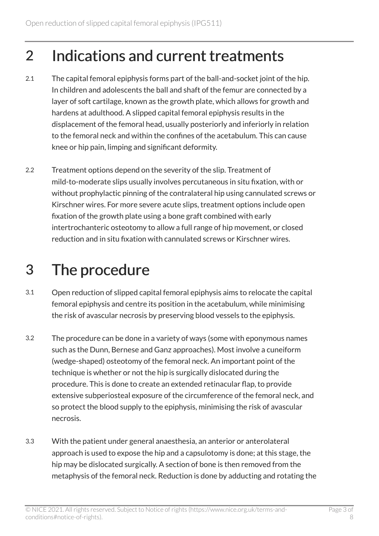### 2 Indications and current treatments

- 2.1 The capital femoral epiphysis forms part of the ball-and-socket joint of the hip. In children and adolescents the ball and shaft of the femur are connected by a layer of soft cartilage, known as the growth plate, which allows for growth and hardens at adulthood. A slipped capital femoral epiphysis results in the displacement of the femoral head, usually posteriorly and inferiorly in relation to the femoral neck and within the confines of the acetabulum. This can cause knee or hip pain, limping and significant deformity.
- 2.2 Treatment options depend on the severity of the slip. Treatment of mild-to-moderate slips usually involves percutaneous in situ fixation, with or without prophylactic pinning of the contralateral hip using cannulated screws or Kirschner wires. For more severe acute slips, treatment options include open fixation of the growth plate using a bone graft combined with early intertrochanteric osteotomy to allow a full range of hip movement, or closed reduction and in situ fixation with cannulated screws or Kirschner wires.

## 3 The procedure

- 3.1 Open reduction of slipped capital femoral epiphysis aims to relocate the capital femoral epiphysis and centre its position in the acetabulum, while minimising the risk of avascular necrosis by preserving blood vessels to the epiphysis.
- 3.2 The procedure can be done in a variety of ways (some with eponymous names such as the Dunn, Bernese and Ganz approaches). Most involve a cuneiform (wedge-shaped) osteotomy of the femoral neck. An important point of the technique is whether or not the hip is surgically dislocated during the procedure. This is done to create an extended retinacular flap, to provide extensive subperiosteal exposure of the circumference of the femoral neck, and so protect the blood supply to the epiphysis, minimising the risk of avascular necrosis.
- 3.3 With the patient under general anaesthesia, an anterior or anterolateral approach is used to expose the hip and a capsulotomy is done; at this stage, the hip may be dislocated surgically. A section of bone is then removed from the metaphysis of the femoral neck. Reduction is done by adducting and rotating the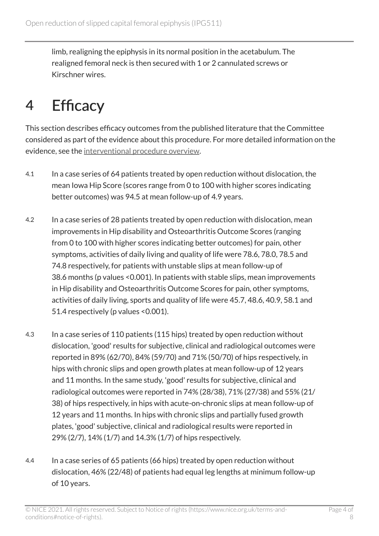limb, realigning the epiphysis in its normal position in the acetabulum. The realigned femoral neck is then secured with 1 or 2 cannulated screws or Kirschner wires.

### 4 Efficacy

This section describes efficacy outcomes from the published literature that the Committee considered as part of the evidence about this procedure. For more detailed information on the evidence, see the [interventional procedure overview](http://www.nice.org.uk/Guidance/IPG511/Evidence).

- 4.1 In a case series of 64 patients treated by open reduction without dislocation, the mean Iowa Hip Score (scores range from 0 to 100 with higher scores indicating better outcomes) was 94.5 at mean follow-up of 4.9 years.
- 4.2 In a case series of 28 patients treated by open reduction with dislocation, mean improvements in Hip disability and Osteoarthritis Outcome Scores (ranging from 0 to 100 with higher scores indicating better outcomes) for pain, other symptoms, activities of daily living and quality of life were 78.6, 78.0, 78.5 and 74.8 respectively, for patients with unstable slips at mean follow-up of 38.6 months (p values <0.001). In patients with stable slips, mean improvements in Hip disability and Osteoarthritis Outcome Scores for pain, other symptoms, activities of daily living, sports and quality of life were 45.7, 48.6, 40.9, 58.1 and 51.4 respectively (p values <0.001).
- 4.3 In a case series of 110 patients (115 hips) treated by open reduction without dislocation, 'good' results for subjective, clinical and radiological outcomes were reported in 89% (62/70), 84% (59/70) and 71% (50/70) of hips respectively, in hips with chronic slips and open growth plates at mean follow-up of 12 years and 11 months. In the same study, 'good' results for subjective, clinical and radiological outcomes were reported in 74% (28/38), 71% (27/38) and 55% (21/ 38) of hips respectively, in hips with acute-on-chronic slips at mean follow-up of 12 years and 11 months. In hips with chronic slips and partially fused growth plates, 'good' subjective, clinical and radiological results were reported in 29% (2/7), 14% (1/7) and 14.3% (1/7) of hips respectively.
- 4.4 In a case series of 65 patients (66 hips) treated by open reduction without dislocation, 46% (22/48) of patients had equal leg lengths at minimum follow-up of 10 years.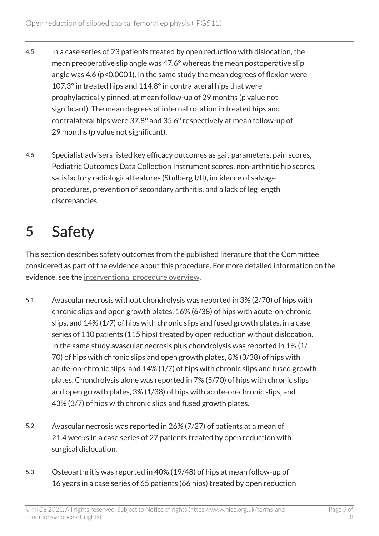- 4.5 In a case series of 23 patients treated by open reduction with dislocation, the mean preoperative slip angle was 47.6° whereas the mean postoperative slip angle was 4.6 (p<0.0001). In the same study the mean degrees of flexion were 107.3° in treated hips and 114.8° in contralateral hips that were prophylactically pinned, at mean follow-up of 29 months (p value not significant). The mean degrees of internal rotation in treated hips and contralateral hips were 37.8° and 35.6° respectively at mean follow-up of 29 months (p value not significant).
- 4.6 Specialist advisers listed key efficacy outcomes as gait parameters, pain scores, Pediatric Outcomes Data Collection Instrument scores, non-arthritic hip scores, satisfactory radiological features (Stulberg I/II), incidence of salvage procedures, prevention of secondary arthritis, and a lack of leg length discrepancies.

## 5 Safety

This section describes safety outcomes from the published literature that the Committee considered as part of the evidence about this procedure. For more detailed information on the evidence, see the [interventional procedure overview](http://www.nice.org.uk/guidance/IPG511/evidence).

- 5.1 Avascular necrosis without chondrolysis was reported in 3% (2/70) of hips with chronic slips and open growth plates, 16% (6/38) of hips with acute-on-chronic slips, and 14% (1/7) of hips with chronic slips and fused growth plates, in a case series of 110 patients (115 hips) treated by open reduction without dislocation. In the same study avascular necrosis plus chondrolysis was reported in 1% (1/ 70) of hips with chronic slips and open growth plates, 8% (3/38) of hips with acute-on-chronic slips, and 14% (1/7) of hips with chronic slips and fused growth plates. Chondrolysis alone was reported in 7% (5/70) of hips with chronic slips and open growth plates, 3% (1/38) of hips with acute-on-chronic slips, and 43% (3/7) of hips with chronic slips and fused growth plates.
- 5.2 Avascular necrosis was reported in 26% (7/27) of patients at a mean of 21.4 weeks in a case series of 27 patients treated by open reduction with surgical dislocation.
- 5.3 Osteoarthritis was reported in 40% (19/48) of hips at mean follow-up of 16 years in a case series of 65 patients (66 hips) treated by open reduction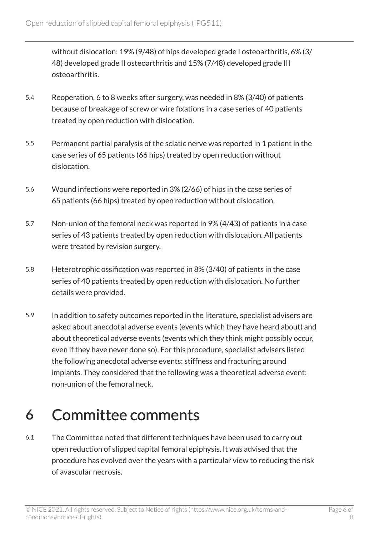without dislocation: 19% (9/48) of hips developed grade I osteoarthritis, 6% (3/ 48) developed grade II osteoarthritis and 15% (7/48) developed grade III osteoarthritis.

- 5.4 Reoperation, 6 to 8 weeks after surgery, was needed in 8% (3/40) of patients because of breakage of screw or wire fixations in a case series of 40 patients treated by open reduction with dislocation.
- 5.5 Permanent partial paralysis of the sciatic nerve was reported in 1 patient in the case series of 65 patients (66 hips) treated by open reduction without dislocation.
- 5.6 Wound infections were reported in 3% (2/66) of hips in the case series of 65 patients (66 hips) treated by open reduction without dislocation.
- 5.7 Non-union of the femoral neck was reported in 9% (4/43) of patients in a case series of 43 patients treated by open reduction with dislocation. All patients were treated by revision surgery.
- 5.8 Heterotrophic ossification was reported in 8% (3/40) of patients in the case series of 40 patients treated by open reduction with dislocation. No further details were provided.
- 5.9 In addition to safety outcomes reported in the literature, specialist advisers are asked about anecdotal adverse events (events which they have heard about) and about theoretical adverse events (events which they think might possibly occur, even if they have never done so). For this procedure, specialist advisers listed the following anecdotal adverse events: stiffness and fracturing around implants. They considered that the following was a theoretical adverse event: non-union of the femoral neck.

#### 6 Committee comments

6.1 The Committee noted that different techniques have been used to carry out open reduction of slipped capital femoral epiphysis. It was advised that the procedure has evolved over the years with a particular view to reducing the risk of avascular necrosis.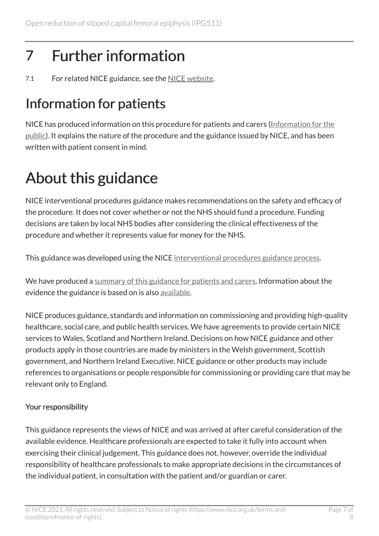## 7 Further information

7.1 For related NICE guidance, see the [NICE website](http://www.nice.org.uk/).

#### Information for patients

NICE has produced information on this procedure for patients and carers [\(Information for the](http://www.nice.org.uk/guidance/IPG511/InformationForPublic)  [public\)](http://www.nice.org.uk/guidance/IPG511/InformationForPublic). It explains the nature of the procedure and the guidance issued by NICE, and has been written with patient consent in mind.

## About this guidance

NICE interventional procedures guidance makes recommendations on the safety and efficacy of the procedure. It does not cover whether or not the NHS should fund a procedure. Funding decisions are taken by local NHS bodies after considering the clinical effectiveness of the procedure and whether it represents value for money for the NHS.

This guidance was developed using the NICE [interventional procedures guidance process](https://www.nice.org.uk/About/What-we-do/Our-Programmes/NICE-guidance/NICE-interventional-procedures-guidance).

We have produced a [summary of this guidance for patients and carers.](http://www.nice.org.uk/guidance/IPG511/InformationForPublic) Information about the evidence the guidance is based on is also [available](http://www.nice.org.uk/guidance/IPG511/evidence).

NICE produces guidance, standards and information on commissioning and providing high-quality healthcare, social care, and public health services. We have agreements to provide certain NICE services to Wales, Scotland and Northern Ireland. Decisions on how NICE guidance and other products apply in those countries are made by ministers in the Welsh government, Scottish government, and Northern Ireland Executive. NICE guidance or other products may include references to organisations or people responsible for commissioning or providing care that may be relevant only to England.

#### Your responsibility

This guidance represents the views of NICE and was arrived at after careful consideration of the available evidence. Healthcare professionals are expected to take it fully into account when exercising their clinical judgement. This guidance does not, however, override the individual responsibility of healthcare professionals to make appropriate decisions in the circumstances of the individual patient, in consultation with the patient and/or guardian or carer.